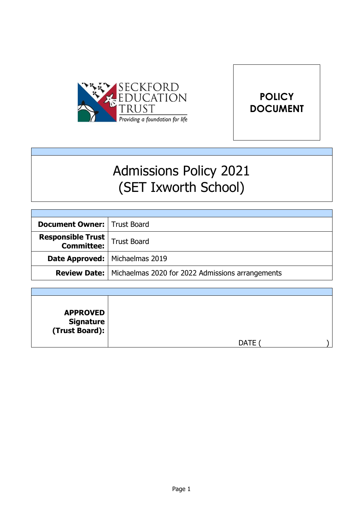



# Admissions Policy 2021 (SET Ixworth School)

| <b>Document Owner:   Trust Board</b>                      |                                                                        |
|-----------------------------------------------------------|------------------------------------------------------------------------|
| <b>Responsible Trust</b><br><b>Committee:</b> Trust Board |                                                                        |
| Date Approved:   Michaelmas 2019                          |                                                                        |
|                                                           | <b>Review Date:</b>   Michaelmas 2020 for 2022 Admissions arrangements |

| <b>APPROVED</b><br>  Signature<br>  (Trust Board): |             |  |
|----------------------------------------------------|-------------|--|
|                                                    | <b>DATE</b> |  |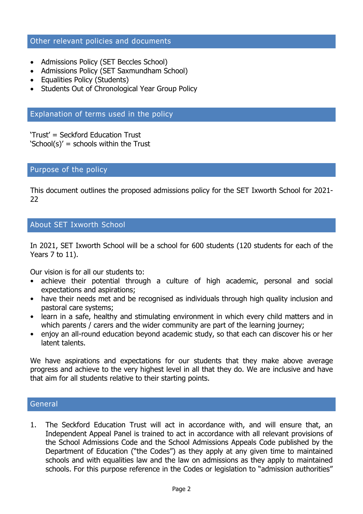## Other relevant policies and documents

- Admissions Policy (SET Beccles School)
- Admissions Policy (SET Saxmundham School)
- Equalities Policy (Students)
- Students Out of Chronological Year Group Policy

# Explanation of terms used in the policy

'Trust' = Seckford Education Trust 'School(s)' = schools within the Trust

## Purpose of the policy

This document outlines the proposed admissions policy for the SET Ixworth School for 2021- 22

# About SET Ixworth School

In 2021, SET Ixworth School will be a school for 600 students (120 students for each of the Years 7 to 11).

Our vision is for all our students to:

- achieve their potential through a culture of high academic, personal and social expectations and aspirations;
- have their needs met and be recognised as individuals through high quality inclusion and pastoral care systems;
- learn in a safe, healthy and stimulating environment in which every child matters and in which parents / carers and the wider community are part of the learning journey;
- enjoy an all-round education beyond academic study, so that each can discover his or her latent talents.

We have aspirations and expectations for our students that they make above average progress and achieve to the very highest level in all that they do. We are inclusive and have that aim for all students relative to their starting points.

#### **General**

1. The Seckford Education Trust will act in accordance with, and will ensure that, an Independent Appeal Panel is trained to act in accordance with all relevant provisions of the School Admissions Code and the School Admissions Appeals Code published by the Department of Education ("the Codes") as they apply at any given time to maintained schools and with equalities law and the law on admissions as they apply to maintained schools. For this purpose reference in the Codes or legislation to "admission authorities"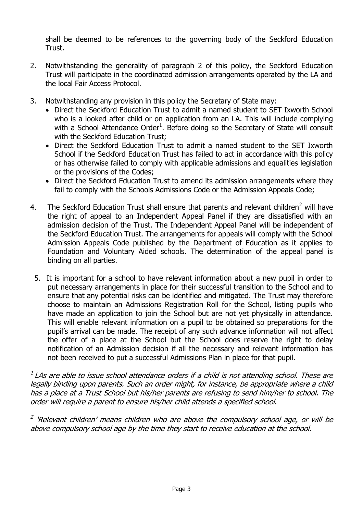shall be deemed to be references to the governing body of the Seckford Education Trust.

- 2. Notwithstanding the generality of paragraph 2 of this policy, the Seckford Education Trust will participate in the coordinated admission arrangements operated by the LA and the local Fair Access Protocol.
- 3. Notwithstanding any provision in this policy the Secretary of State may:
	- Direct the Seckford Education Trust to admit a named student to SET Ixworth School who is a looked after child or on application from an LA. This will include complying with a School Attendance Order<sup>1</sup>. Before doing so the Secretary of State will consult with the Seckford Education Trust;
	- Direct the Seckford Education Trust to admit a named student to the SET Ixworth School if the Seckford Education Trust has failed to act in accordance with this policy or has otherwise failed to comply with applicable admissions and equalities legislation or the provisions of the Codes;
	- Direct the Seckford Education Trust to amend its admission arrangements where they fail to comply with the Schools Admissions Code or the Admission Appeals Code;
- 4. The Seckford Education Trust shall ensure that parents and relevant children<sup>2</sup> will have the right of appeal to an Independent Appeal Panel if they are dissatisfied with an admission decision of the Trust. The Independent Appeal Panel will be independent of the Seckford Education Trust. The arrangements for appeals will comply with the School Admission Appeals Code published by the Department of Education as it applies to Foundation and Voluntary Aided schools. The determination of the appeal panel is binding on all parties.
	- 5. It is important for a school to have relevant information about a new pupil in order to put necessary arrangements in place for their successful transition to the School and to ensure that any potential risks can be identified and mitigated. The Trust may therefore choose to maintain an Admissions Registration Roll for the School, listing pupils who have made an application to join the School but are not yet physically in attendance. This will enable relevant information on a pupil to be obtained so preparations for the pupil's arrival can be made. The receipt of any such advance information will not affect the offer of a place at the School but the School does reserve the right to delay notification of an Admission decision if all the necessary and relevant information has not been received to put a successful Admissions Plan in place for that pupil.

 $^{\text{\tiny{I}}}$  LAs are able to issue school attendance orders if a child is not attending school. These are legally binding upon parents. Such an order might, for instance, be appropriate where a child has a place at a Trust School but his/her parents are refusing to send him/her to school. The order will require a parent to ensure his/her child attends a specified school.

<sup>2</sup> 'Relevant children' means children who are above the compulsory school age, or will be above compulsory school age by the time they start to receive education at the school.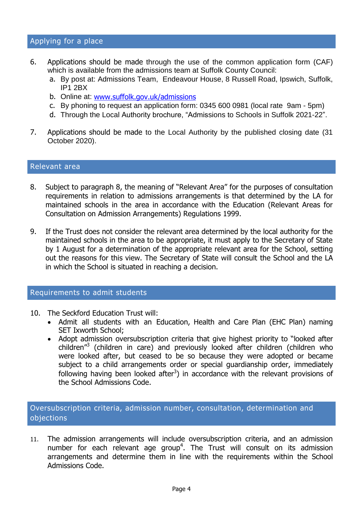- 6. Applications should be made through the use of the common application form (CAF) which is available from the admissions team at Suffolk County Council:
	- a. By post at: Admissions Team, Endeavour House, 8 Russell Road, Ipswich, Suffolk, IP1 2BX
	- b. Online at: [www.suffolk.gov.uk/admissions](http://www.suffolk.gov.uk/admissions)
	- c. By phoning to request an application form: 0345 600 0981 (local rate 9am 5pm)
	- d. Through the Local Authority brochure, "Admissions to Schools in Suffolk 2021-22".
- 7. Applications should be made to the Local Authority by the published closing date (31 October 2020).

#### Relevant area

- 8. Subject to paragraph 8, the meaning of "Relevant Area" for the purposes of consultation requirements in relation to admissions arrangements is that determined by the LA for maintained schools in the area in accordance with the Education (Relevant Areas for Consultation on Admission Arrangements) Regulations 1999.
- 9. If the Trust does not consider the relevant area determined by the local authority for the maintained schools in the area to be appropriate, it must apply to the Secretary of State by 1 August for a determination of the appropriate relevant area for the School, setting out the reasons for this view. The Secretary of State will consult the School and the LA in which the School is situated in reaching a decision.

#### Requirements to admit students

- 10. The Seckford Education Trust will:
	- Admit all students with an Education, Health and Care Plan (EHC Plan) naming SET Ixworth School;
	- Adopt admission oversubscription criteria that give highest priority to "looked after children<sup>"3</sup> (children in care) and previously looked after children (children who were looked after, but ceased to be so because they were adopted or became subject to a child arrangements order or special guardianship order, immediately following having been looked after<sup>3</sup>) in accordance with the relevant provisions of the School Admissions Code.

Oversubscription criteria, admission number, consultation, determination and objections

11. The admission arrangements will include oversubscription criteria, and an admission number for each relevant age group<sup>4</sup>. The Trust will consult on its admission arrangements and determine them in line with the requirements within the School Admissions Code.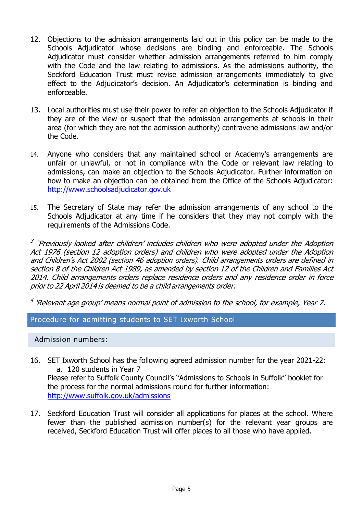- 12. Objections to the admission arrangements laid out in this policy can be made to the Schools Adjudicator whose decisions are binding and enforceable. The Schools Adjudicator must consider whether admission arrangements referred to him comply with the Code and the law relating to admissions. As the admissions authority, the Seckford Education Trust must revise admission arrangements immediately to give effect to the Adjudicator's decision. An Adjudicator's determination is binding and enforceable.
- 13. Local authorities must use their power to refer an objection to the Schools Adjudicator if they are of the view or suspect that the admission arrangements at schools in their area (for which they are not the admission authority) contravene admissions law and/or the Code.
- 14. Anyone who considers that any maintained school or Academy's arrangements are unfair or unlawful, or not in compliance with the Code or relevant law relating to admissions, can make an objection to the Schools Adjudicator. Further information on how to make an objection can be obtained from the Office of the Schools Adjudicator: [http://www.schoolsadjudicator.gov.uk](http://www.schoolsadjudicator.gov.uk/)
- 15. The Secretary of State may refer the admission arrangements of any school to the Schools Adjudicator at any time if he considers that they may not comply with the requirements of the Admissions Code.

<sup>3</sup> 'Previously looked after children' includes children who were adopted under the Adoption Act 1976 (section 12 adoption orders) and children who were adopted under the Adoption and Children'<sup>s</sup> Act 2002 (section 46 adoption orders). Child arrangements orders are defined in section 8 of the Children Act 1989, as amended by section 12 of the Children and Families Act 2014. Child arrangements orders replace residence orders and any residence order in force priorto 22 April 2014 is deemed to be <sup>a</sup> child arrangements order.

<sup>4</sup> 'Relevant age group' means normal point of admission to the school, for example, Year 7.

Procedure for admitting students to SET Ixworth School

Admission numbers:

- 16. SET Ixworth School has the following agreed admission number for the year 2021-22: a. 120 students in Year 7 Please refer to Suffolk County Council's "Admissions to Schools in Suffolk" booklet for the process for the normal admissions round for further information: <http://www.suffolk.gov.uk/admissions>
- 17. Seckford Education Trust will consider all applications for places at the school. Where fewer than the published admission number(s) for the relevant year groups are received, Seckford Education Trust will offer places to all those who have applied.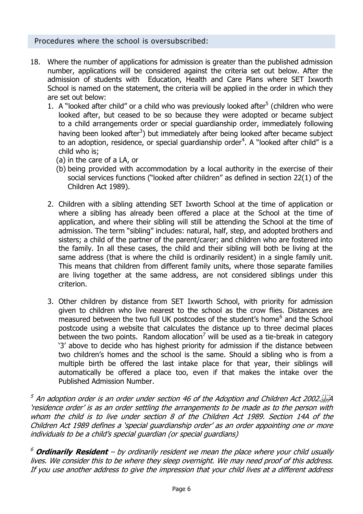## Procedures where the school is oversubscribed:

- 18. Where the number of applications for admission is greater than the published admission number, applications will be considered against the criteria set out below. After the admission of students with Education, Health and Care Plans where SET Ixworth School is named on the statement, the criteria will be applied in the order in which they are set out below:
	- 1. A "looked after child" or a child who was previously looked after $5$  (children who were looked after, but ceased to be so because they were adopted or became subject to a child arrangements order or special guardianship order, immediately following having been looked after<sup>3</sup>) but immediately after being looked after became subject to an adoption, residence, or special guardianship order<sup>4</sup>. A "looked after child" is a child who is;
		- (a) in the care of a LA, or
		- (b) being provided with accommodation by a local authority in the exercise of their social services functions ("looked after children" as defined in section 22(1) of the Children Act 1989).
	- 2. Children with a sibling attending SET Ixworth School at the time of application or where a sibling has already been offered a place at the School at the time of application, and where their sibling will still be attending the School at the time of admission. The term "sibling" includes: natural, half, step, and adopted brothers and sisters; a child of the partner of the parent/carer; and children who are fostered into the family. In all these cases, the child and their sibling will both be living at the same address (that is where the child is ordinarily resident) in a single family unit. This means that children from different family units, where those separate families are living together at the same address, are not considered siblings under this criterion.
	- 3. Other children by distance from SET Ixworth School, with priority for admission given to children who live nearest to the school as the crow flies. Distances are measured between the two full UK postcodes of the student's home<sup>6</sup> and the School postcode using a website that calculates the distance up to three decimal places between the two points. Random allocation<sup>7</sup> will be used as a tie-break in category '3' above to decide who has highest priority for admission if the distance between two children's homes and the school is the same. Should a sibling who is from a multiple birth be offered the last intake place for that year, their siblings will automatically be offered a place too, even if that makes the intake over the Published Admission Number.

 $^5$  An adoption order is an order under section 46 of the Adoption and Children Act 2002.  $\ddot{\text{SEP}}$ A 'residence order' is as an order settling the arrangements to be made as to the person with whom the child is to live under section 8 of the Children Act 1989. Section 14A of the Children Act 1989 defines a 'special guardianship order' as an order appointing one or more individuals to be a child's special guardian (or special guardians)

<sup>6</sup> **Ordinarily Resident** – by ordinarily resident we mean the place where your child usually lives. We consider this to be where they sleep overnight. We may need proof of this address. If you use another address to give the impression that your child lives at a different address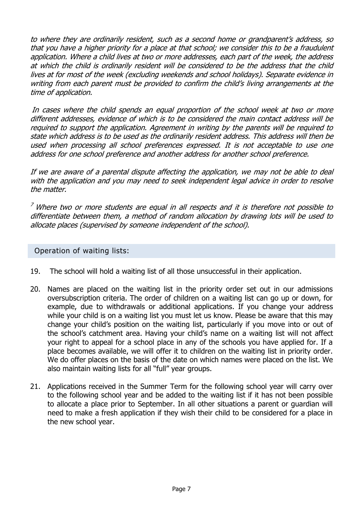to where they are ordinarily resident, such as a second home or grandparent's address, so that you have a higher priority for a place at that school; we consider this to be a fraudulent application. Where a child lives at two or more addresses, each part of the week, the address at which the child is ordinarily resident will be considered to be the address that the child lives at for most of the week (excluding weekends and school holidays). Separate evidence in writing from each parent must be provided to confirm the child's living arrangements at the time of application.

In cases where the child spends an equal proportion of the school week at two or more different addresses, evidence of which is to be considered the main contact address will be required to support the application. Agreement in writing by the parents will be required to state which address is to be used as the ordinarily resident address. This address will then be used when processing all school preferences expressed. It is not acceptable to use one address for one school preference and another address for another school preference.

If we are aware of a parental dispute affecting the application, we may not be able to deal with the application and you may need to seek independent legal advice in order to resolve the matter.

 $7$  Where two or more students are equal in all respects and it is therefore not possible to differentiate between them, a method of random allocation by drawing lots will be used to allocate places (supervised by someone independent of the school).

Operation of waiting lists:

- 19. The school will hold a waiting list of all those unsuccessful in their application.
- 20. Names are placed on the waiting list in the priority order set out in our admissions oversubscription criteria. The order of children on a waiting list can go up or down, for example, due to withdrawals or additional applications. If you change your address while your child is on a waiting list you must let us know. Please be aware that this may change your child's position on the waiting list, particularly if you move into or out of the school's catchment area. Having your child's name on a waiting list will not affect your right to appeal for a school place in any of the schools you have applied for. If a place becomes available, we will offer it to children on the waiting list in priority order. We do offer places on the basis of the date on which names were placed on the list. We also maintain waiting lists for all "full" year groups.
- 21. Applications received in the Summer Term for the following school year will carry over to the following school year and be added to the waiting list if it has not been possible to allocate a place prior to September. In all other situations a parent or guardian will need to make a fresh application if they wish their child to be considered for a place in the new school year.